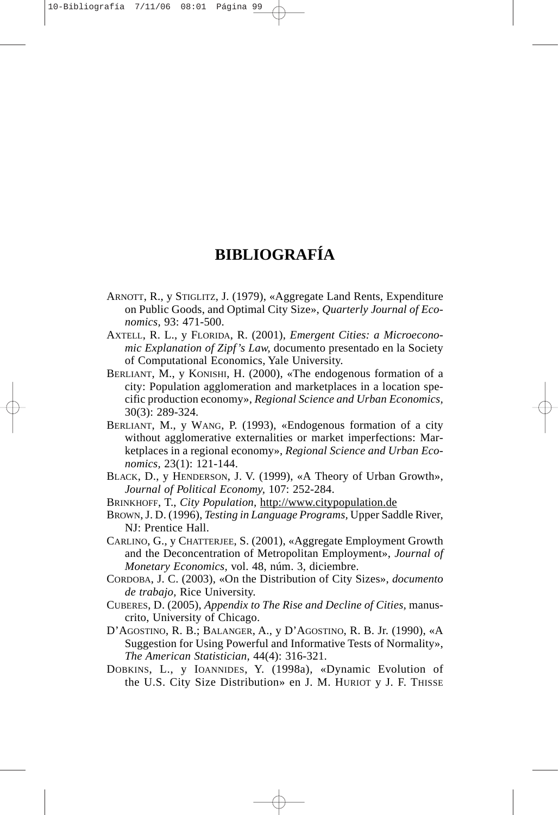## **BIBLIOGRAFÍA**

- ARNOTT, R., y STIGLITZ, J. (1979), «Aggregate Land Rents, Expenditure on Public Goods, and Optimal City Size», *Quarterly Journal of Economics,* 93: 471-500.
- AXTELL, R. L., y FLORIDA, R. (2001), *Emergent Cities: a Microeconomic Explanation of Zipf's Law,* documento presentado en la Society of Computational Economics, Yale University.
- BERLIANT, M., y KONISHI, H. (2000), «The endogenous formation of a city: Population agglomeration and marketplaces in a location specific production economy», *Regional Science and Urban Economics,* 30(3): 289-324.
- BERLIANT, M., y WANG, P. (1993), «Endogenous formation of a city without agglomerative externalities or market imperfections: Marketplaces in a regional economy», *Regional Science and Urban Economics,* 23(1): 121-144.
- BLACK, D., y HENDERSON, J. V. (1999), «A Theory of Urban Growth», *Journal of Political Economy,* 107: 252-284.
- BRINKHOFF, T., *City Population,* http://www.citypopulation.de
- BROWN, J. D. (1996), *Testing in Language Programs,* Upper Saddle River, NJ: Prentice Hall.
- CARLINO, G., y CHATTERJEE, S. (2001), «Aggregate Employment Growth and the Deconcentration of Metropolitan Employment», *Journal of Monetary Economics,* vol. 48, núm. 3, diciembre.
- CORDOBA, J. C. (2003), «On the Distribution of City Sizes», *documento de trabajo,* Rice University.
- CUBERES, D. (2005), *Appendix to The Rise and Decline of Cities,* manuscrito, University of Chicago.
- D'AGOSTINO, R. B.; BALANGER, A., y D'AGOSTINO, R. B. Jr. (1990), «A Suggestion for Using Powerful and Informative Tests of Normality», *The American Statistician,* 44(4): 316-321.
- DOBKINS, L., y IOANNIDES, Y. (1998a), «Dynamic Evolution of the U.S. City Size Distribution» en J. M. HURIOT y J. F. THISSE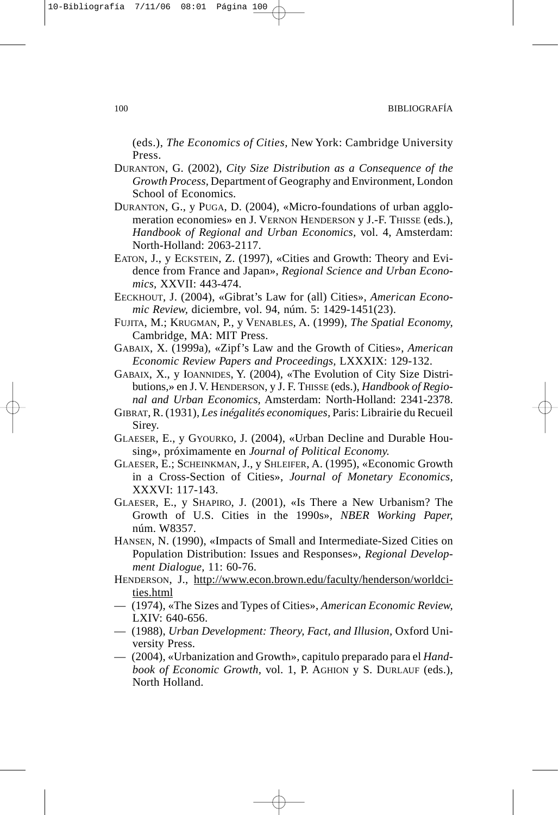(eds.), *The Economics of Cities,* New York: Cambridge University Press.

- DURANTON, G. (2002), *City Size Distribution as a Consequence of the Growth Process,* Department of Geography and Environment, London School of Economics.
- DURANTON, G., y PUGA, D. (2004), «Micro-foundations of urban agglomeration economies» en J. VERNON HENDERSON y J.-F. THISSE (eds.), *Handbook of Regional and Urban Economics,* vol. 4, Amsterdam: North-Holland: 2063-2117.
- EATON, J., y ECKSTEIN, Z. (1997), «Cities and Growth: Theory and Evidence from France and Japan», *Regional Science and Urban Economics,* XXVII: 443-474.
- EECKHOUT, J. (2004), «Gibrat's Law for (all) Cities», *American Economic Review,* diciembre, vol. 94, núm. 5: 1429-1451(23).
- FUJITA, M.; KRUGMAN, P., y VENABLES, A. (1999), *The Spatial Economy,* Cambridge, MA: MIT Press.
- GABAIX, X. (1999a), «Zipf's Law and the Growth of Cities», *American Economic Review Papers and Proceedings,* LXXXIX: 129-132.
- GABAIX, X., y IOANNIDES, Y. (2004), «The Evolution of City Size Distributions,» en J. V. HENDERSON, y J. F. THISSE (eds.), *Handbook of Regional and Urban Economics,* Amsterdam: North-Holland: 2341-2378.
- GIBRAT, R. (1931), *Les inégalités economiques,* Paris: Librairie du Recueil Sirey.
- GLAESER, E., y GYOURKO, J. (2004), «Urban Decline and Durable Housing», próximamente en *Journal of Political Economy.*
- GLAESER, E.; SCHEINKMAN, J., y SHLEIFER, A. (1995), «Economic Growth in a Cross-Section of Cities», *Journal of Monetary Economics,* XXXVI: 117-143.
- GLAESER, E., y SHAPIRO, J. (2001), «Is There a New Urbanism? The Growth of U.S. Cities in the 1990s», *NBER Working Paper,* núm. W8357.
- HANSEN, N. (1990), «Impacts of Small and Intermediate-Sized Cities on Population Distribution: Issues and Responses», *Regional Development Dialogue,* 11: 60-76.
- HENDERSON, J., http://www.econ.brown.edu/faculty/henderson/worldcities.html
- (1974), «The Sizes and Types of Cities», *American Economic Review,* LXIV: 640-656.
- (1988), *Urban Development: Theory, Fact, and Illusion,* Oxford University Press.
- (2004), «Urbanization and Growth», capitulo preparado para el *Handbook of Economic Growth,* vol. 1, P. AGHION y S. DURLAUF (eds.), North Holland.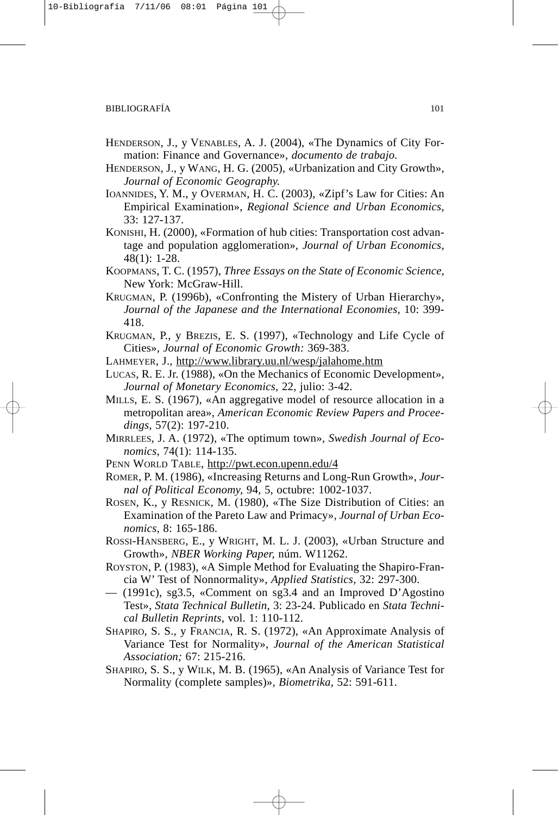- HENDERSON, J., y VENABLES, A. J. (2004), «The Dynamics of City Formation: Finance and Governance», *documento de trabajo.*
- HENDERSON, J., y WANG, H. G. (2005), «Urbanization and City Growth», *Journal of Economic Geography.*
- IOANNIDES, Y. M., y OVERMAN, H. C. (2003), «Zipf's Law for Cities: An Empirical Examination», *Regional Science and Urban Economics,* 33: 127-137.
- KONISHI, H. (2000), «Formation of hub cities: Transportation cost advantage and population agglomeration», *Journal of Urban Economics,* 48(1): 1-28.
- KOOPMANS, T. C. (1957), *Three Essays on the State of Economic Science,* New York: McGraw-Hill.
- KRUGMAN, P. (1996b), «Confronting the Mistery of Urban Hierarchy», *Journal of the Japanese and the International Economies,* 10: 399- 418.
- KRUGMAN, P., y BREZIS, E. S. (1997), «Technology and Life Cycle of Cities», *Journal of Economic Growth:* 369-383.
- LAHMEYER, J., http://www.library.uu.nl/wesp/jalahome.htm
- LUCAS, R. E. Jr. (1988), «On the Mechanics of Economic Development», *Journal of Monetary Economics,* 22, julio: 3-42.
- MILLS, E. S. (1967), «An aggregative model of resource allocation in a metropolitan area», *American Economic Review Papers and Proceedings,* 57(2): 197-210.
- MIRRLEES, J. A. (1972), «The optimum town», *Swedish Journal of Economics,* 74(1): 114-135.
- PENN WORLD TABLE, http://pwt.econ.upenn.edu/4
- ROMER, P. M. (1986), «Increasing Returns and Long-Run Growth», *Journal of Political Economy,* 94, 5, octubre: 1002-1037.
- ROSEN, K., y RESNICK, M. (1980), «The Size Distribution of Cities: an Examination of the Pareto Law and Primacy», *Journal of Urban Economics,* 8: 165-186.
- ROSSI-HANSBERG, E., y WRIGHT, M. L. J. (2003), «Urban Structure and Growth», *NBER Working Paper,* núm. W11262.
- ROYSTON, P. (1983), «A Simple Method for Evaluating the Shapiro-Francia W' Test of Nonnormality», *Applied Statistics,* 32: 297-300.
- (1991c), sg3.5, «Comment on sg3.4 and an Improved D'Agostino Test», *Stata Technical Bulletin,* 3: 23-24. Publicado en *Stata Technical Bulletin Reprints,* vol. 1: 110-112.
- SHAPIRO, S. S., y FRANCIA, R. S. (1972), «An Approximate Analysis of Variance Test for Normality», *Journal of the American Statistical Association;* 67: 215-216.
- SHAPIRO, S. S., y WILK, M. B. (1965), «An Analysis of Variance Test for Normality (complete samples)», *Biometrika,* 52: 591-611.